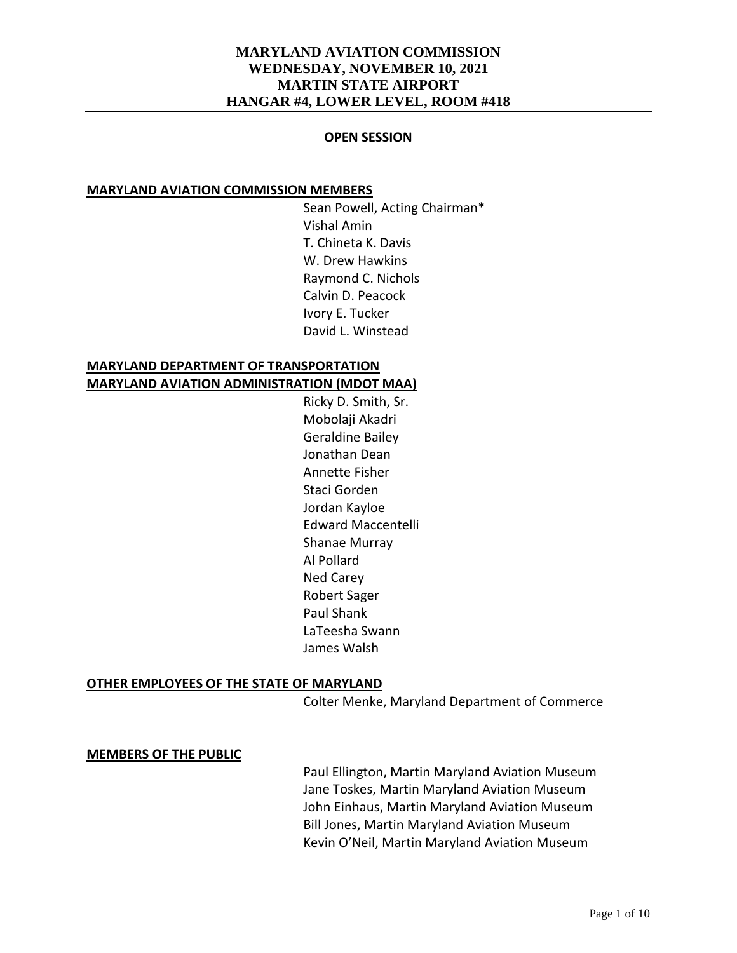#### **OPEN SESSION**

#### **MARYLAND AVIATION COMMISSION MEMBERS**

Sean Powell, Acting Chairman\* Vishal Amin T. Chineta K. Davis W. Drew Hawkins Raymond C. Nichols Calvin D. Peacock Ivory E. Tucker David L. Winstead

### **MARYLAND DEPARTMENT OF TRANSPORTATION MARYLAND AVIATION ADMINISTRATION (MDOT MAA)**

Ricky D. Smith, Sr. Mobolaji Akadri Geraldine Bailey Jonathan Dean Annette Fisher Staci Gorden Jordan Kayloe Edward Maccentelli Shanae Murray Al Pollard Ned Carey Robert Sager Paul Shank LaTeesha Swann James Walsh

### **OTHER EMPLOYEES OF THE STATE OF MARYLAND**

Colter Menke, Maryland Department of Commerce

#### **MEMBERS OF THE PUBLIC**

Paul Ellington, Martin Maryland Aviation Museum Jane Toskes, Martin Maryland Aviation Museum John Einhaus, Martin Maryland Aviation Museum Bill Jones, Martin Maryland Aviation Museum Kevin O'Neil, Martin Maryland Aviation Museum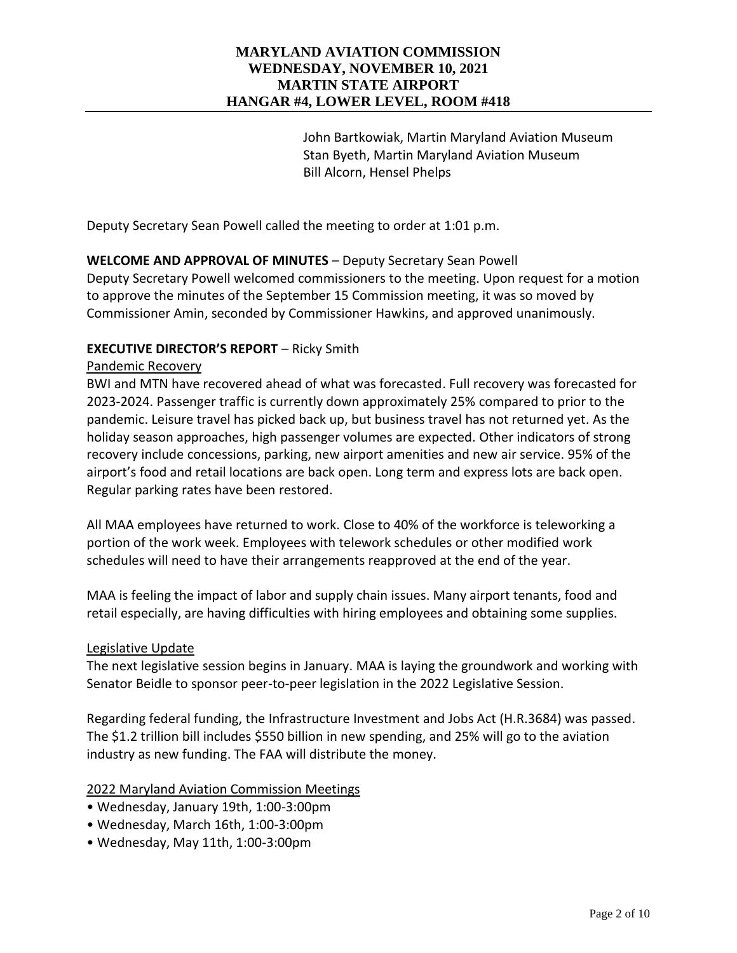John Bartkowiak, Martin Maryland Aviation Museum Stan Byeth, Martin Maryland Aviation Museum Bill Alcorn, Hensel Phelps

Deputy Secretary Sean Powell called the meeting to order at 1:01 p.m.

# **WELCOME AND APPROVAL OF MINUTES** – Deputy Secretary Sean Powell

Deputy Secretary Powell welcomed commissioners to the meeting. Upon request for a motion to approve the minutes of the September 15 Commission meeting, it was so moved by Commissioner Amin, seconded by Commissioner Hawkins, and approved unanimously.

### **EXECUTIVE DIRECTOR'S REPORT** – Ricky Smith

#### Pandemic Recovery

BWI and MTN have recovered ahead of what was forecasted. Full recovery was forecasted for 2023-2024. Passenger traffic is currently down approximately 25% compared to prior to the pandemic. Leisure travel has picked back up, but business travel has not returned yet. As the holiday season approaches, high passenger volumes are expected. Other indicators of strong recovery include concessions, parking, new airport amenities and new air service. 95% of the airport's food and retail locations are back open. Long term and express lots are back open. Regular parking rates have been restored.

All MAA employees have returned to work. Close to 40% of the workforce is teleworking a portion of the work week. Employees with telework schedules or other modified work schedules will need to have their arrangements reapproved at the end of the year.

MAA is feeling the impact of labor and supply chain issues. Many airport tenants, food and retail especially, are having difficulties with hiring employees and obtaining some supplies.

#### Legislative Update

The next legislative session begins in January. MAA is laying the groundwork and working with Senator Beidle to sponsor peer-to-peer legislation in the 2022 Legislative Session.

Regarding federal funding, the Infrastructure Investment and Jobs Act (H.R.3684) was passed. The \$1.2 trillion bill includes \$550 billion in new spending, and 25% will go to the aviation industry as new funding. The FAA will distribute the money.

### 2022 Maryland Aviation Commission Meetings

- Wednesday, January 19th, 1:00-3:00pm
- Wednesday, March 16th, 1:00-3:00pm
- Wednesday, May 11th, 1:00-3:00pm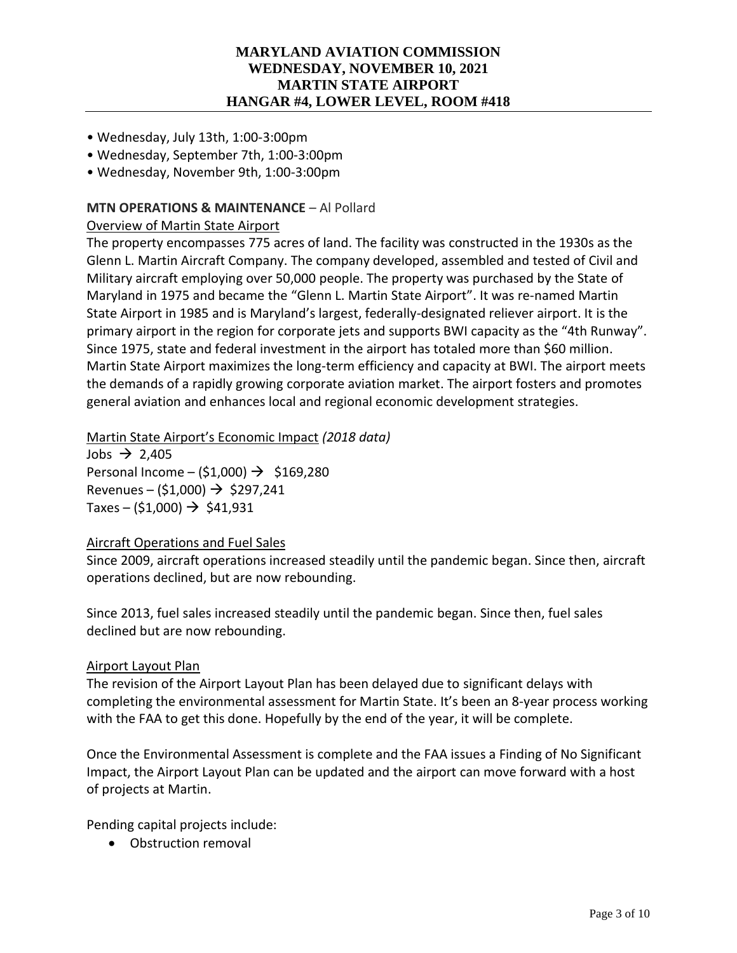- Wednesday, July 13th, 1:00-3:00pm
- Wednesday, September 7th, 1:00-3:00pm
- Wednesday, November 9th, 1:00-3:00pm

### **MTN OPERATIONS & MAINTENANCE** – Al Pollard

### Overview of Martin State Airport

The property encompasses 775 acres of land. The facility was constructed in the 1930s as the Glenn L. Martin Aircraft Company. The company developed, assembled and tested of Civil and Military aircraft employing over 50,000 people. The property was purchased by the State of Maryland in 1975 and became the "Glenn L. Martin State Airport". It was re-named Martin State Airport in 1985 and is Maryland's largest, federally-designated reliever airport. It is the primary airport in the region for corporate jets and supports BWI capacity as the "4th Runway". Since 1975, state and federal investment in the airport has totaled more than \$60 million. Martin State Airport maximizes the long-term efficiency and capacity at BWI. The airport meets the demands of a rapidly growing corporate aviation market. The airport fosters and promotes general aviation and enhances local and regional economic development strategies.

### Martin State Airport's Economic Impact *(2018 data)*

Jobs  $\rightarrow$  2,405 Personal Income – (\$1,000)  $\rightarrow$  \$169,280 Revenues – (\$1,000)  $\rightarrow$  \$297,241 Taxes – (\$1,000)  $\rightarrow$  \$41,931

### Aircraft Operations and Fuel Sales

Since 2009, aircraft operations increased steadily until the pandemic began. Since then, aircraft operations declined, but are now rebounding.

Since 2013, fuel sales increased steadily until the pandemic began. Since then, fuel sales declined but are now rebounding.

### Airport Layout Plan

The revision of the Airport Layout Plan has been delayed due to significant delays with completing the environmental assessment for Martin State. It's been an 8-year process working with the FAA to get this done. Hopefully by the end of the year, it will be complete.

Once the Environmental Assessment is complete and the FAA issues a Finding of No Significant Impact, the Airport Layout Plan can be updated and the airport can move forward with a host of projects at Martin.

Pending capital projects include:

• Obstruction removal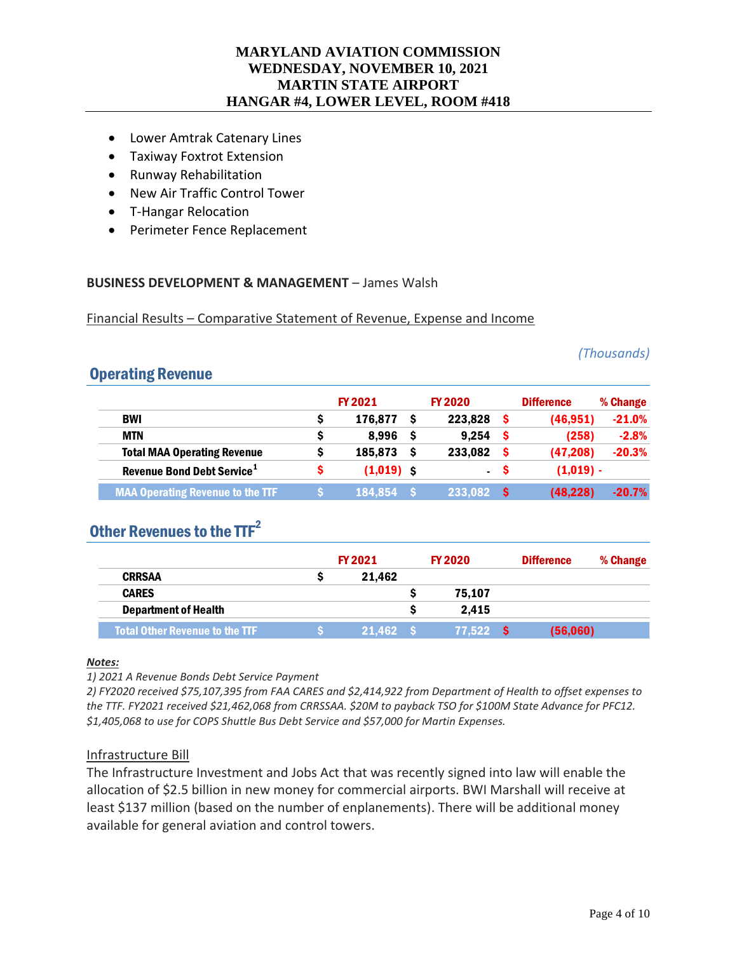- Lower Amtrak Catenary Lines
- Taxiway Foxtrot Extension
- Runway Rehabilitation
- New Air Traffic Control Tower
- T-Hangar Relocation
- Perimeter Fence Replacement

#### **BUSINESS DEVELOPMENT & MANAGEMENT** – James Walsh

Financial Results – Comparative Statement of Revenue, Expense and Income

*(Thousands)*

# Operating Revenue

|                                         |   | FY 2021      | <b>FY 2020</b> |    | <b>Difference</b> | % Change |
|-----------------------------------------|---|--------------|----------------|----|-------------------|----------|
| <b>BWI</b>                              | S | 176.877      | 223.828        |    | (46, 951)         | $-21.0%$ |
| <b>MTN</b>                              | s | 8.996        | 9.254          |    | (258)             | $-2.8%$  |
| <b>Total MAA Operating Revenue</b>      |   | 185,873      | 233,082        |    | (47, 208)         | $-20.3%$ |
| Revenue Bond Debt Service <sup>1</sup>  | s | $(1,019)$ \$ | $\sim$         | -S | $(1,019) -$       |          |
| <b>MAA Operating Revenue to the TTF</b> |   | 184,854      | 233,082        |    | (48, 228)         | $-20.7%$ |

# Other Revenues to the  $TF^2$

|                                       | <b>FY 2021</b> |          | <b>FY 2020</b> |          | <b>Difference</b> | % Change |
|---------------------------------------|----------------|----------|----------------|----------|-------------------|----------|
| <b>CRRSAA</b>                         |                | 21.462   |                |          |                   |          |
| <b>CARES</b>                          |                |          |                | 75.107   |                   |          |
| <b>Department of Health</b>           |                |          |                | 2.415    |                   |          |
| <b>Total Other Revenue to the TTF</b> |                | 21.462 S |                | 77.522 S | (56,060)          |          |

#### *Notes:*

*1) 2021 A Revenue Bonds Debt Service Payment*

*2) FY2020 received \$75,107,395 from FAA CARES and \$2,414,922 from Department of Health to offset expenses to the TTF. FY2021 received \$21,462,068 from CRRSSAA. \$20M to payback TSO for \$100M State Advance for PFC12. \$1,405,068 to use for COPS Shuttle Bus Debt Service and \$57,000 for Martin Expenses.*

#### Infrastructure Bill

The Infrastructure Investment and Jobs Act that was recently signed into law will enable the allocation of \$2.5 billion in new money for commercial airports. BWI Marshall will receive at least \$137 million (based on the number of enplanements). There will be additional money available for general aviation and control towers.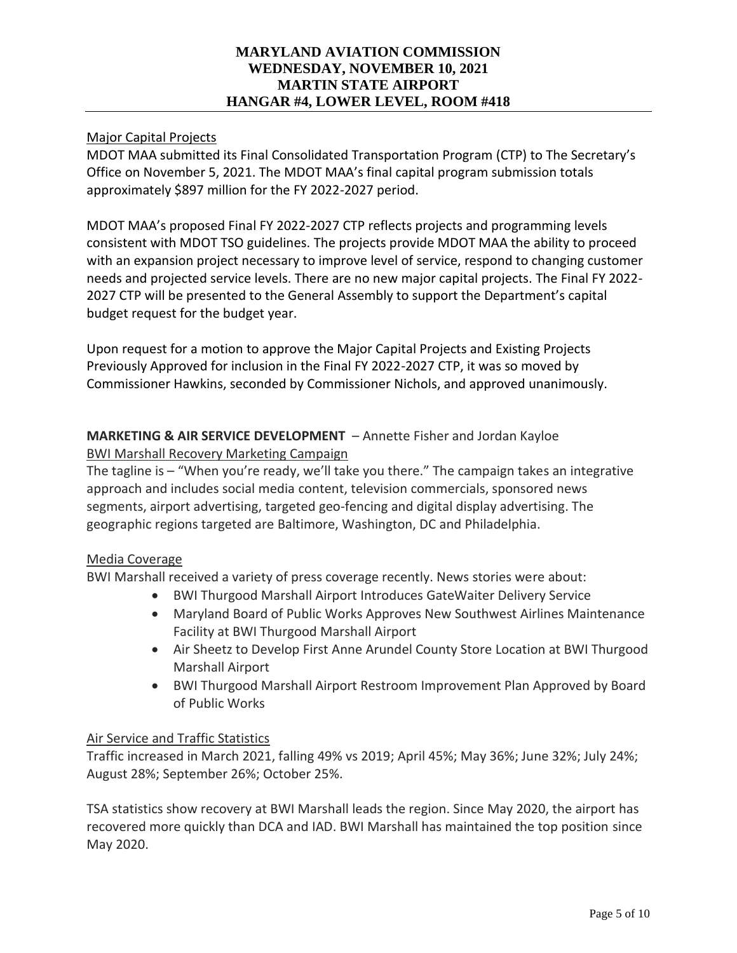# Major Capital Projects

MDOT MAA submitted its Final Consolidated Transportation Program (CTP) to The Secretary's Office on November 5, 2021. The MDOT MAA's final capital program submission totals approximately \$897 million for the FY 2022-2027 period.

MDOT MAA's proposed Final FY 2022-2027 CTP reflects projects and programming levels consistent with MDOT TSO guidelines. The projects provide MDOT MAA the ability to proceed with an expansion project necessary to improve level of service, respond to changing customer needs and projected service levels. There are no new major capital projects. The Final FY 2022- 2027 CTP will be presented to the General Assembly to support the Department's capital budget request for the budget year.

Upon request for a motion to approve the Major Capital Projects and Existing Projects Previously Approved for inclusion in the Final FY 2022-2027 CTP, it was so moved by Commissioner Hawkins, seconded by Commissioner Nichols, and approved unanimously.

# **MARKETING & AIR SERVICE DEVELOPMENT** – Annette Fisher and Jordan Kayloe BWI Marshall Recovery Marketing Campaign

The tagline is – "When you're ready, we'll take you there." The campaign takes an integrative approach and includes social media content, television commercials, sponsored news segments, airport advertising, targeted geo-fencing and digital display advertising. The geographic regions targeted are Baltimore, Washington, DC and Philadelphia.

### Media Coverage

BWI Marshall received a variety of press coverage recently. News stories were about:

- BWI Thurgood Marshall Airport Introduces GateWaiter Delivery Service
- Maryland Board of Public Works Approves New Southwest Airlines Maintenance Facility at BWI Thurgood Marshall Airport
- Air Sheetz to Develop First Anne Arundel County Store Location at BWI Thurgood Marshall Airport
- BWI Thurgood Marshall Airport Restroom Improvement Plan Approved by Board of Public Works

# Air Service and Traffic Statistics

Traffic increased in March 2021, falling 49% vs 2019; April 45%; May 36%; June 32%; July 24%; August 28%; September 26%; October 25%.

TSA statistics show recovery at BWI Marshall leads the region. Since May 2020, the airport has recovered more quickly than DCA and IAD. BWI Marshall has maintained the top position since May 2020.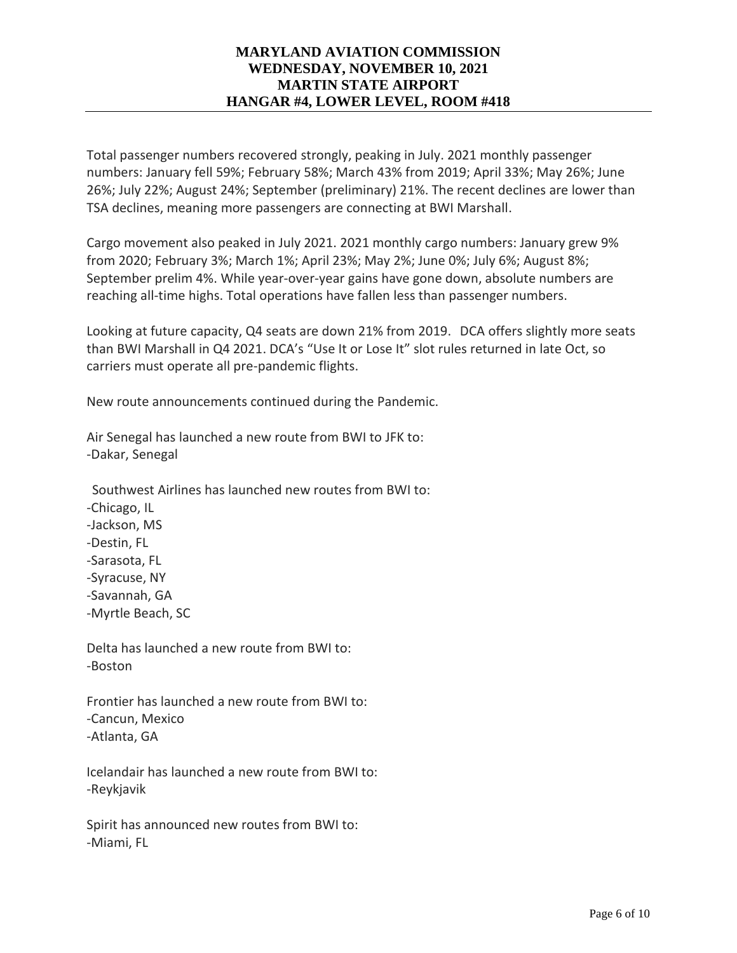Total passenger numbers recovered strongly, peaking in July. 2021 monthly passenger numbers: January fell 59%; February 58%; March 43% from 2019; April 33%; May 26%; June 26%; July 22%; August 24%; September (preliminary) 21%. The recent declines are lower than TSA declines, meaning more passengers are connecting at BWI Marshall.

Cargo movement also peaked in July 2021. 2021 monthly cargo numbers: January grew 9% from 2020; February 3%; March 1%; April 23%; May 2%; June 0%; July 6%; August 8%; September prelim 4%. While year-over-year gains have gone down, absolute numbers are reaching all-time highs. Total operations have fallen less than passenger numbers.

Looking at future capacity, Q4 seats are down 21% from 2019. DCA offers slightly more seats than BWI Marshall in Q4 2021. DCA's "Use It or Lose It" slot rules returned in late Oct, so carriers must operate all pre-pandemic flights.

New route announcements continued during the Pandemic.

Air Senegal has launched a new route from BWI to JFK to: -Dakar, Senegal

Southwest Airlines has launched new routes from BWI to: -Chicago, IL -Jackson, MS -Destin, FL -Sarasota, FL -Syracuse, NY -Savannah, GA -Myrtle Beach, SC

Delta has launched a new route from BWI to: -Boston

Frontier has launched a new route from BWI to: -Cancun, Mexico -Atlanta, GA

Icelandair has launched a new route from BWI to: -Reykjavik

Spirit has announced new routes from BWI to: -Miami, FL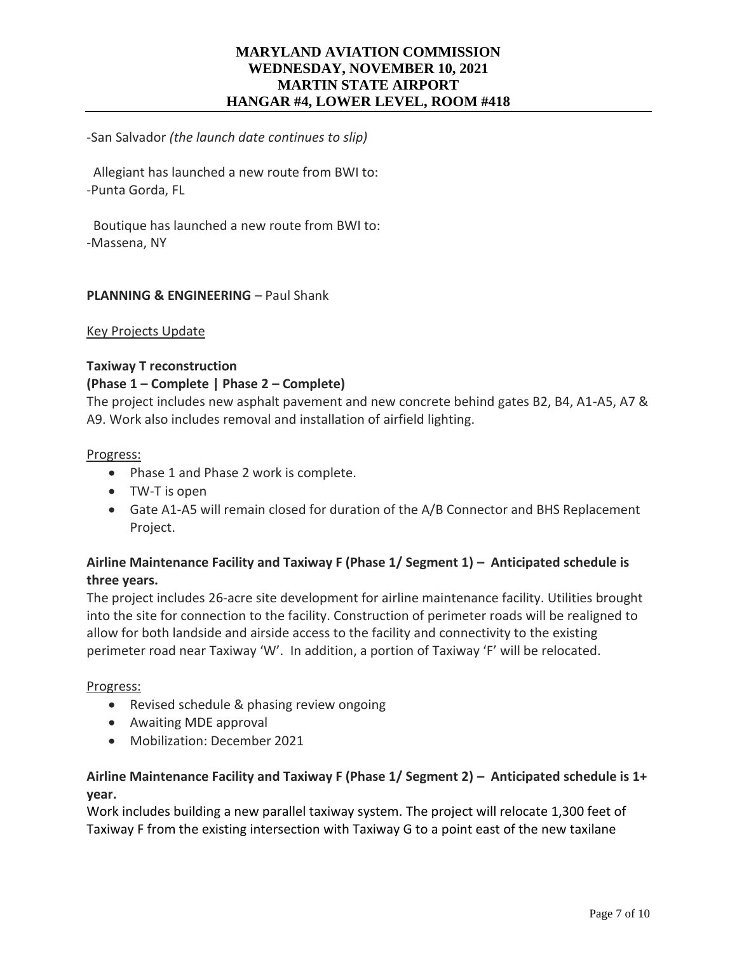-San Salvador *(the launch date continues to slip)*

 Allegiant has launched a new route from BWI to: -Punta Gorda, FL

 Boutique has launched a new route from BWI to: -Massena, NY

### **PLANNING & ENGINEERING - Paul Shank**

#### Key Projects Update

#### **Taxiway T reconstruction**

#### **(Phase 1 – Complete | Phase 2 – Complete)**

The project includes new asphalt pavement and new concrete behind gates B2, B4, A1-A5, A7 & A9. Work also includes removal and installation of airfield lighting.

#### Progress:

- Phase 1 and Phase 2 work is complete.
- TW-T is open
- Gate A1-A5 will remain closed for duration of the A/B Connector and BHS Replacement Project.

# **Airline Maintenance Facility and Taxiway F (Phase 1/ Segment 1) – Anticipated schedule is three years.**

The project includes 26-acre site development for airline maintenance facility. Utilities brought into the site for connection to the facility. Construction of perimeter roads will be realigned to allow for both landside and airside access to the facility and connectivity to the existing perimeter road near Taxiway 'W'. In addition, a portion of Taxiway 'F' will be relocated.

#### Progress:

- Revised schedule & phasing review ongoing
- Awaiting MDE approval
- Mobilization: December 2021

# **Airline Maintenance Facility and Taxiway F (Phase 1/ Segment 2) – Anticipated schedule is 1+ year.**

Work includes building a new parallel taxiway system. The project will relocate 1,300 feet of Taxiway F from the existing intersection with Taxiway G to a point east of the new taxilane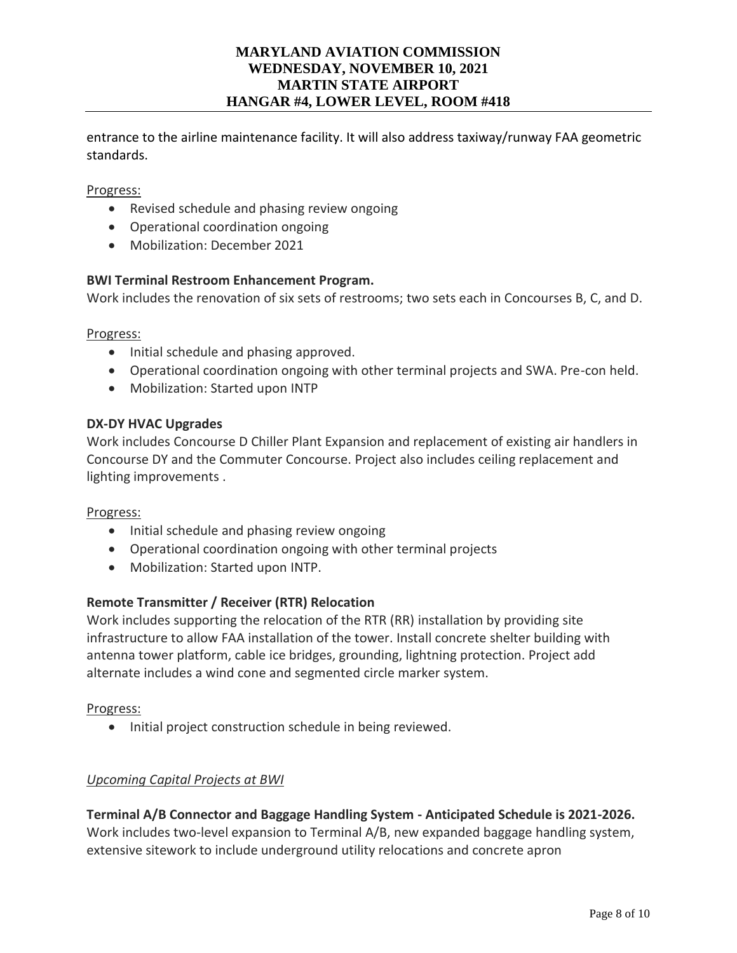entrance to the airline maintenance facility. It will also address taxiway/runway FAA geometric standards.

### Progress:

- Revised schedule and phasing review ongoing
- Operational coordination ongoing
- Mobilization: December 2021

#### **BWI Terminal Restroom Enhancement Program.**

Work includes the renovation of six sets of restrooms; two sets each in Concourses B, C, and D.

#### Progress:

- Initial schedule and phasing approved.
- Operational coordination ongoing with other terminal projects and SWA. Pre-con held.
- Mobilization: Started upon INTP

#### **DX-DY HVAC Upgrades**

Work includes Concourse D Chiller Plant Expansion and replacement of existing air handlers in Concourse DY and the Commuter Concourse. Project also includes ceiling replacement and lighting improvements .

#### Progress:

- Initial schedule and phasing review ongoing
- Operational coordination ongoing with other terminal projects
- Mobilization: Started upon INTP.

### **Remote Transmitter / Receiver (RTR) Relocation**

Work includes supporting the relocation of the RTR (RR) installation by providing site infrastructure to allow FAA installation of the tower. Install concrete shelter building with antenna tower platform, cable ice bridges, grounding, lightning protection. Project add alternate includes a wind cone and segmented circle marker system.

#### Progress:

• Initial project construction schedule in being reviewed.

### *Upcoming Capital Projects at BWI*

**Terminal A/B Connector and Baggage Handling System - Anticipated Schedule is 2021-2026.**  Work includes two-level expansion to Terminal A/B, new expanded baggage handling system, extensive sitework to include underground utility relocations and concrete apron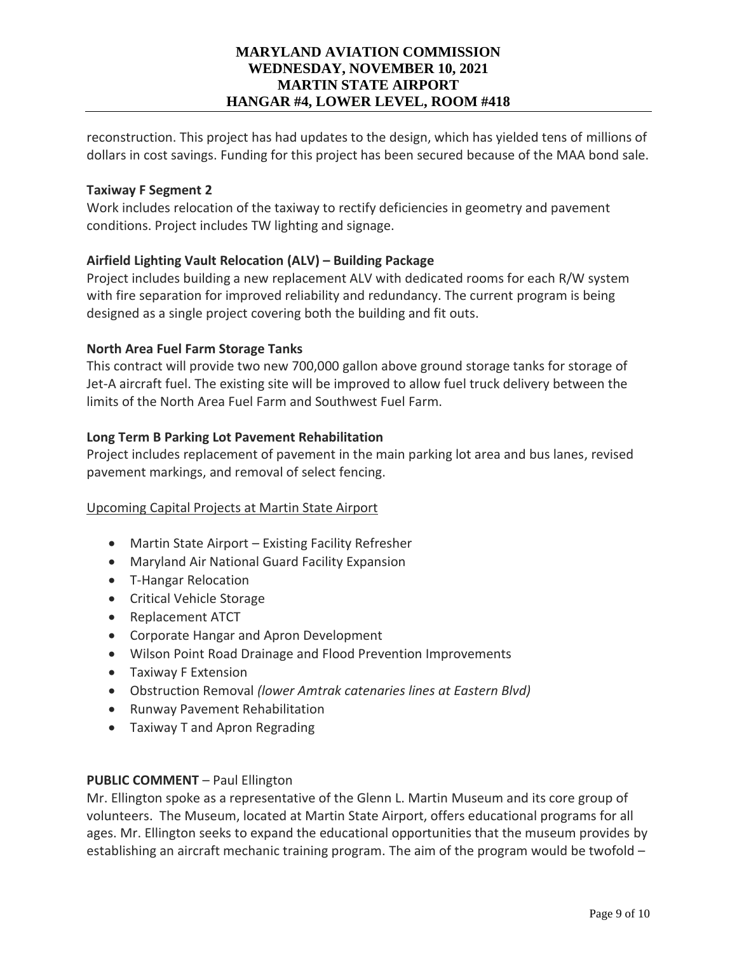reconstruction. This project has had updates to the design, which has yielded tens of millions of dollars in cost savings. Funding for this project has been secured because of the MAA bond sale.

### **Taxiway F Segment 2**

Work includes relocation of the taxiway to rectify deficiencies in geometry and pavement conditions. Project includes TW lighting and signage.

# **Airfield Lighting Vault Relocation (ALV) – Building Package**

Project includes building a new replacement ALV with dedicated rooms for each R/W system with fire separation for improved reliability and redundancy. The current program is being designed as a single project covering both the building and fit outs.

# **North Area Fuel Farm Storage Tanks**

This contract will provide two new 700,000 gallon above ground storage tanks for storage of Jet-A aircraft fuel. The existing site will be improved to allow fuel truck delivery between the limits of the North Area Fuel Farm and Southwest Fuel Farm.

# **Long Term B Parking Lot Pavement Rehabilitation**

Project includes replacement of pavement in the main parking lot area and bus lanes, revised pavement markings, and removal of select fencing.

### Upcoming Capital Projects at Martin State Airport

- Martin State Airport Existing Facility Refresher
- Maryland Air National Guard Facility Expansion
- T-Hangar Relocation
- Critical Vehicle Storage
- Replacement ATCT
- Corporate Hangar and Apron Development
- Wilson Point Road Drainage and Flood Prevention Improvements
- Taxiway F Extension
- Obstruction Removal *(lower Amtrak catenaries lines at Eastern Blvd)*
- Runway Pavement Rehabilitation
- Taxiway T and Apron Regrading

### **PUBLIC COMMENT** – Paul Ellington

Mr. Ellington spoke as a representative of the Glenn L. Martin Museum and its core group of volunteers. The Museum, located at Martin State Airport, offers educational programs for all ages. Mr. Ellington seeks to expand the educational opportunities that the museum provides by establishing an aircraft mechanic training program. The aim of the program would be twofold –